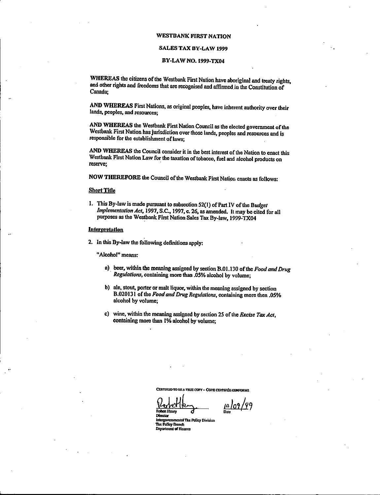#### WESTBANK FIRST NATION

# SALES TAX BY-LAW 1999

### BY -LAW NO. 1999 -TX04

WHEREAS the citizens of the Westbank First Nation have aboriginal and treaty rights, and other rights and freedoms that are recognised and affirmed in the Constitution of Canada;

AND WHEREAS First Nations, as original peoples, have inherent authority over their lands, peoples, and resources;

AND WHEREAS the Westbank First Nation Council as the elected government of the Westbank First Nation has jurisdiction over those lands, peoples and resources and is responsible for the establishment of laws;

AND WHEREAS the Council consider it in the best interest of the Nation to enact this Westbank First Nation Law for the taxation of tobacco, fuel and alcohol products on reserve;

NOW THEREFORE the Council of the Westbank First Nation enacts as follows:

## Short Title

1. This By-law is made pursuant to subsection  $52(1)$  of Part IV of the Budget Implementation Act, 1997, S.C., 1997, c. 26, as amended. It may be cited for all purposes as the Westbank First Nation Sales Tax By -law, 1999 -TX04

### Interpretation

2. In this By -law the following definitions apply:

Alcohol" means:

- a) beer, within the meaning assigned by section B.01.130 of the Food and Drug Regulations, containing more than .05% alcohol by volume;
- b) ale, stout, porter or malt liquor, within the meaning assigned by section B.020131 of the Food and Drug Regulations, containing more then .05% alcohol by volume;
- c) wine, within the meaning assigned by section 25 of the *Excise Tax Act*, containing more than 1% alcohol by volume;

CERTIFIED TO BB A TRUE COPY - COPE CERTIFIEE CONFORME

 $\frac{12.66 \times 10^{16} \text{ kg}}{1000}$ 

Director Intergovernmental Tax Policy Division Tax Policy Branch Department of Finan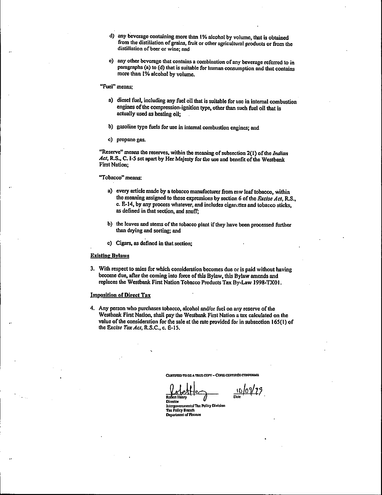- d) any beverage containing more than I% alcohol by volume, that is obtained from the distillation of grains, fruit or other agricultural products or from the distillation of beer or wine; and
- e) any other beverage that contains a combination of any beverage referred to in paragraphs (a) to (d) that is suitable for human consumption and that contains more than 1% alcohol by volume.
- Fuel" means;
	- a) diesel fuel, including any fuel oil that is suitable for use in internal combustion engines of the compression-ignition type, other than such fuel oil that is actually used as heating oil;
	- b) gasoline type fuels for use in internal combustion engines; and
	- c) propane gas.

"Reserve" means the reserves, within the meaning of subsection  $2(1)$  of the *Indian* Act, R.S., C. I-5 set apart by Her Majesty for the use and benefit of the Westbank First Nation;

#### Tobacco" means:

- a) every article made by a tobacco manufacturer from raw leaf tobacco, within the meaning assigned to those expressions by section 6 of the Excise Act, R.S., c. E• 14, by any process whatever, and includes cigarettes and tobacco sticks, as defined in that section, and snuff;
- b) the leaves and stems of the tobacco plant if they have been processed further than drying and sorting; and
- c) Cigars, as defined in that section;

#### Existing Bylaws

3. With respect to sales for which consideration becomes due or is paid without having become due, after the coming into force of this Bylaw, this Bylaw amends and replaces the Westbank First Nation Tobacco Products Tax By -Law 1998 -TX01.

#### Imposition of Direct Tax

4. Any person who purchases tobacco, alcohol and/or fuel on any reserve of the Westbank First Nation, shall pay the Westbank First Nation a tax calculated on the value ofthe consideration for the sale at the rate provided for in subsection 165( 1) of the Excise Tax Act, R.S.C., c. E-15.

CERTIFIED TO BE A TRUB COPY - COPIE CERTIFIER CONFORME

<u>to/os</u> Dale .

Robert Henry Director

nnenen.<br>Intergovernmental Tax Policy Division raa Polley Branch Department of Finance